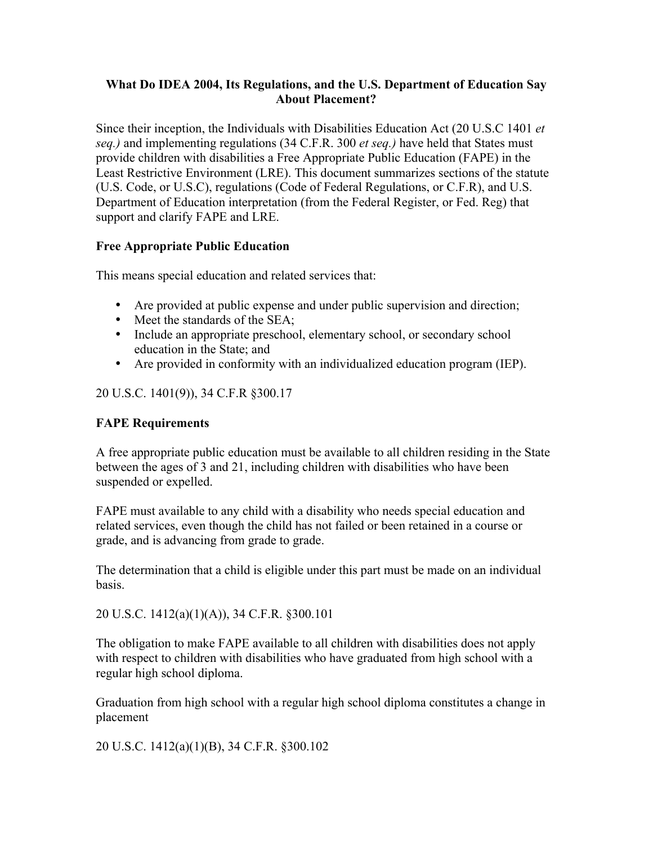### What Do IDEA 2004, Its Regulations, and the U.S. Department of Education Say About Placement?

Since their inception, the Individuals with Disabilities Education Act (20 U.S.C 1401 *et seq.)* and implementing regulations (34 C.F.R. 300 *et seq.)* have held that States must provide children with disabilities a Free Appropriate Public Education (FAPE) in the Least Restrictive Environment (LRE). This document summarizes sections of the statute (U.S. Code, or U.S.C), regulations (Code of Federal Regulations, or C.F.R), and U.S. Department of Education interpretation (from the Federal Register, or Fed. Reg) that support and clarify FAPE and LRE.

# Free Appropriate Public Education

This means special education and related services that:

- Are provided at public expense and under public supervision and direction;
- Meet the standards of the SEA;
- Include an appropriate preschool, elementary school, or secondary school education in the State; and
- Are provided in conformity with an individualized education program (IEP).

# 20 U.S.C. 1401(9)), 34 C.F.R §300.17

## FAPE Requirements

A free appropriate public education must be available to all children residing in the State between the ages of 3 and 21, including children with disabilities who have been suspended or expelled.

FAPE must available to any child with a disability who needs special education and related services, even though the child has not failed or been retained in a course or grade, and is advancing from grade to grade.

The determination that a child is eligible under this part must be made on an individual basis.

20 U.S.C. 1412(a)(1)(A)), 34 C.F.R. §300.101

The obligation to make FAPE available to all children with disabilities does not apply with respect to children with disabilities who have graduated from high school with a regular high school diploma.

Graduation from high school with a regular high school diploma constitutes a change in placement

20 U.S.C. 1412(a)(1)(B), 34 C.F.R. §300.102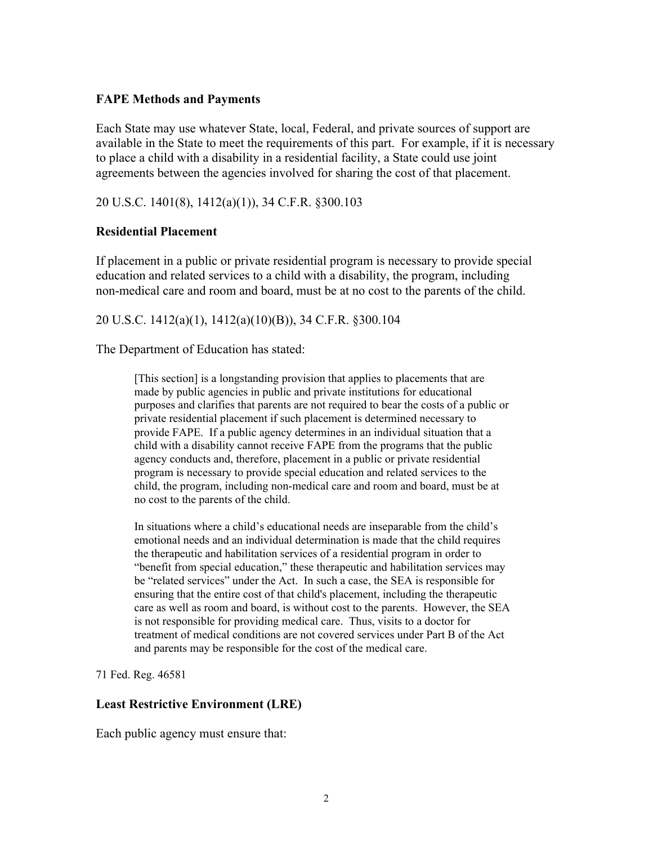#### FAPE Methods and Payments

Each State may use whatever State, local, Federal, and private sources of support are available in the State to meet the requirements of this part. For example, if it is necessary to place a child with a disability in a residential facility, a State could use joint agreements between the agencies involved for sharing the cost of that placement.

### 20 U.S.C. 1401(8), 1412(a)(1)), 34 C.F.R. §300.103

#### Residential Placement

If placement in a public or private residential program is necessary to provide special education and related services to a child with a disability, the program, including non-medical care and room and board, must be at no cost to the parents of the child.

#### 20 U.S.C. 1412(a)(1), 1412(a)(10)(B)), 34 C.F.R. §300.104

The Department of Education has stated:

[This section] is a longstanding provision that applies to placements that are made by public agencies in public and private institutions for educational purposes and clarifies that parents are not required to bear the costs of a public or private residential placement if such placement is determined necessary to provide FAPE. If a public agency determines in an individual situation that a child with a disability cannot receive FAPE from the programs that the public agency conducts and, therefore, placement in a public or private residential program is necessary to provide special education and related services to the child, the program, including non-medical care and room and board, must be at no cost to the parents of the child.

In situations where a child's educational needs are inseparable from the child's emotional needs and an individual determination is made that the child requires the therapeutic and habilitation services of a residential program in order to "benefit from special education," these therapeutic and habilitation services may be "related services" under the Act. In such a case, the SEA is responsible for ensuring that the entire cost of that child's placement, including the therapeutic care as well as room and board, is without cost to the parents. However, the SEA is not responsible for providing medical care. Thus, visits to a doctor for treatment of medical conditions are not covered services under Part B of the Act and parents may be responsible for the cost of the medical care.

71 Fed. Reg. 46581

#### Least Restrictive Environment (LRE)

Each public agency must ensure that: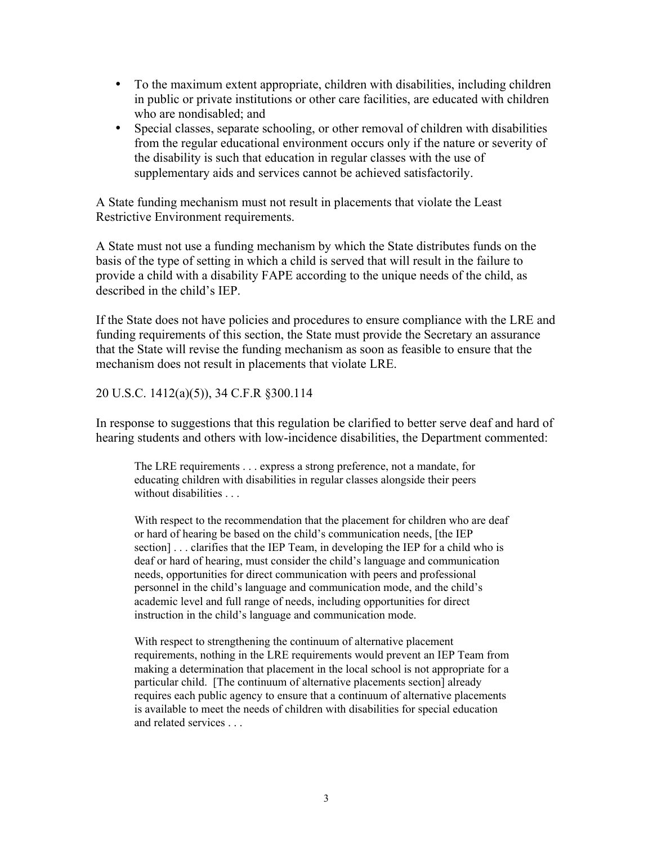- To the maximum extent appropriate, children with disabilities, including children in public or private institutions or other care facilities, are educated with children who are nondisabled; and
- Special classes, separate schooling, or other removal of children with disabilities from the regular educational environment occurs only if the nature or severity of the disability is such that education in regular classes with the use of supplementary aids and services cannot be achieved satisfactorily.

A State funding mechanism must not result in placements that violate the Least Restrictive Environment requirements.

A State must not use a funding mechanism by which the State distributes funds on the basis of the type of setting in which a child is served that will result in the failure to provide a child with a disability FAPE according to the unique needs of the child, as described in the child's IEP.

If the State does not have policies and procedures to ensure compliance with the LRE and funding requirements of this section, the State must provide the Secretary an assurance that the State will revise the funding mechanism as soon as feasible to ensure that the mechanism does not result in placements that violate LRE.

20 U.S.C. 1412(a)(5)), 34 C.F.R §300.114

In response to suggestions that this regulation be clarified to better serve deaf and hard of hearing students and others with low-incidence disabilities, the Department commented:

The LRE requirements . . . express a strong preference, not a mandate, for educating children with disabilities in regular classes alongside their peers without disabilities . . .

With respect to the recommendation that the placement for children who are deaf or hard of hearing be based on the child's communication needs, [the IEP section] . . . clarifies that the IEP Team, in developing the IEP for a child who is deaf or hard of hearing, must consider the child's language and communication needs, opportunities for direct communication with peers and professional personnel in the child's language and communication mode, and the child's academic level and full range of needs, including opportunities for direct instruction in the child's language and communication mode.

With respect to strengthening the continuum of alternative placement requirements, nothing in the LRE requirements would prevent an IEP Team from making a determination that placement in the local school is not appropriate for a particular child. [The continuum of alternative placements section] already requires each public agency to ensure that a continuum of alternative placements is available to meet the needs of children with disabilities for special education and related services . . .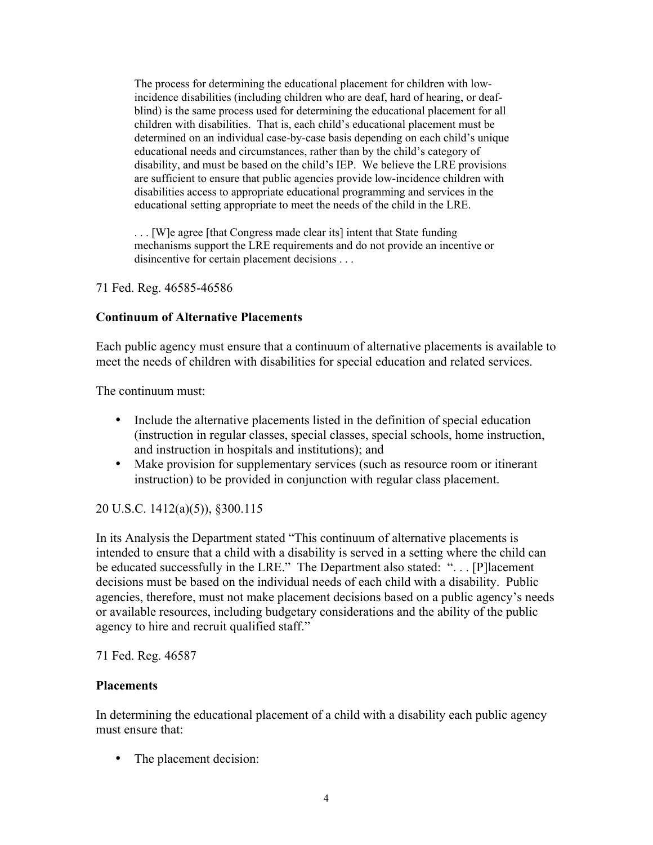The process for determining the educational placement for children with lowincidence disabilities (including children who are deaf, hard of hearing, or deafblind) is the same process used for determining the educational placement for all children with disabilities. That is, each child's educational placement must be determined on an individual case-by-case basis depending on each child's unique educational needs and circumstances, rather than by the child's category of disability, and must be based on the child's IEP. We believe the LRE provisions are sufficient to ensure that public agencies provide low-incidence children with disabilities access to appropriate educational programming and services in the educational setting appropriate to meet the needs of the child in the LRE.

. . . [W]e agree [that Congress made clear its] intent that State funding mechanisms support the LRE requirements and do not provide an incentive or disincentive for certain placement decisions . . .

71 Fed. Reg. 46585-46586

## Continuum of Alternative Placements

Each public agency must ensure that a continuum of alternative placements is available to meet the needs of children with disabilities for special education and related services.

The continuum must:

- Include the alternative placements listed in the definition of special education (instruction in regular classes, special classes, special schools, home instruction, and instruction in hospitals and institutions); and
- Make provision for supplementary services (such as resource room or itinerant instruction) to be provided in conjunction with regular class placement.

## 20 U.S.C. 1412(a)(5)), §300.115

In its Analysis the Department stated "This continuum of alternative placements is intended to ensure that a child with a disability is served in a setting where the child can be educated successfully in the LRE." The Department also stated: "... [P]lacement decisions must be based on the individual needs of each child with a disability. Public agencies, therefore, must not make placement decisions based on a public agency's needs or available resources, including budgetary considerations and the ability of the public agency to hire and recruit qualified staff."

71 Fed. Reg. 46587

#### **Placements**

In determining the educational placement of a child with a disability each public agency must ensure that:

• The placement decision: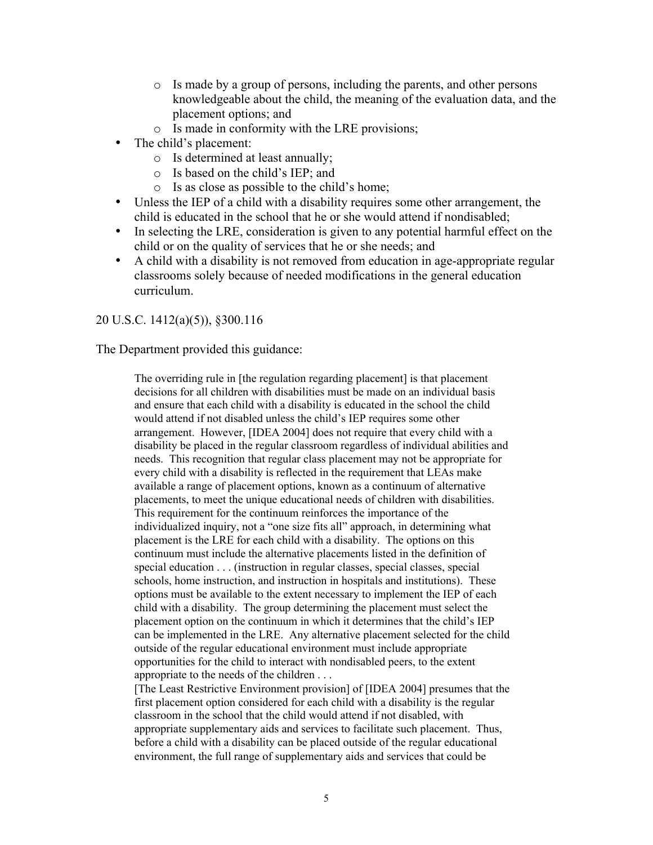- o Is made by a group of persons, including the parents, and other persons knowledgeable about the child, the meaning of the evaluation data, and the placement options; and
- o Is made in conformity with the LRE provisions;
- The child's placement:
	- o Is determined at least annually;
	- o Is based on the child's IEP; and
	- o Is as close as possible to the child's home;
- Unless the IEP of a child with a disability requires some other arrangement, the child is educated in the school that he or she would attend if nondisabled;
- In selecting the LRE, consideration is given to any potential harmful effect on the child or on the quality of services that he or she needs; and
- A child with a disability is not removed from education in age-appropriate regular classrooms solely because of needed modifications in the general education curriculum.

#### 20 U.S.C. 1412(a)(5)), §300.116

The Department provided this guidance:

The overriding rule in [the regulation regarding placement] is that placement decisions for all children with disabilities must be made on an individual basis and ensure that each child with a disability is educated in the school the child would attend if not disabled unless the child's IEP requires some other arrangement. However, [IDEA 2004] does not require that every child with a disability be placed in the regular classroom regardless of individual abilities and needs. This recognition that regular class placement may not be appropriate for every child with a disability is reflected in the requirement that LEAs make available a range of placement options, known as a continuum of alternative placements, to meet the unique educational needs of children with disabilities. This requirement for the continuum reinforces the importance of the individualized inquiry, not a "one size fits all" approach, in determining what placement is the LRE for each child with a disability. The options on this continuum must include the alternative placements listed in the definition of special education . . . (instruction in regular classes, special classes, special schools, home instruction, and instruction in hospitals and institutions). These options must be available to the extent necessary to implement the IEP of each child with a disability. The group determining the placement must select the placement option on the continuum in which it determines that the child's IEP can be implemented in the LRE. Any alternative placement selected for the child outside of the regular educational environment must include appropriate opportunities for the child to interact with nondisabled peers, to the extent appropriate to the needs of the children . . .

[The Least Restrictive Environment provision] of [IDEA 2004] presumes that the first placement option considered for each child with a disability is the regular classroom in the school that the child would attend if not disabled, with appropriate supplementary aids and services to facilitate such placement. Thus, before a child with a disability can be placed outside of the regular educational environment, the full range of supplementary aids and services that could be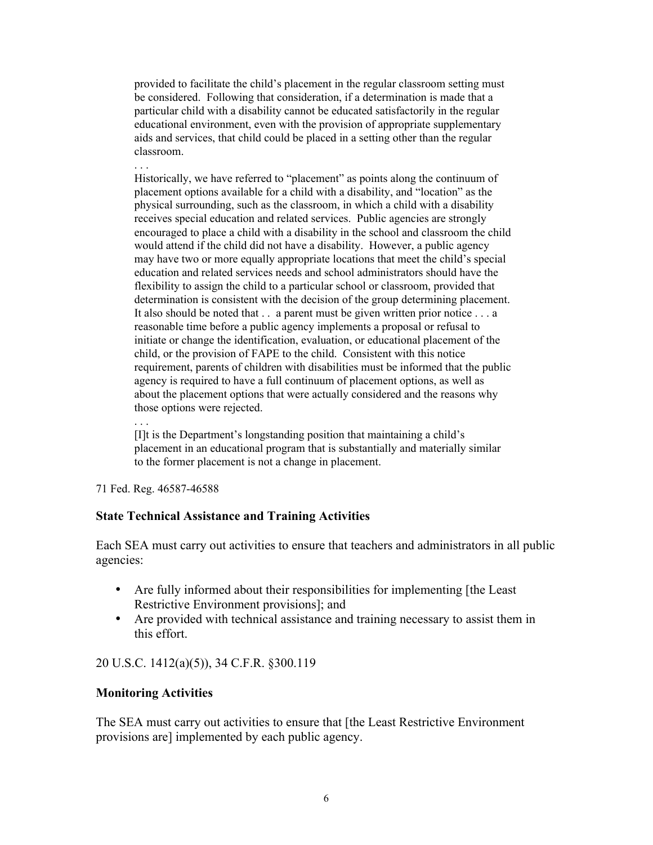provided to facilitate the child's placement in the regular classroom setting must be considered. Following that consideration, if a determination is made that a particular child with a disability cannot be educated satisfactorily in the regular educational environment, even with the provision of appropriate supplementary aids and services, that child could be placed in a setting other than the regular classroom.

. . . Historically, we have referred to "placement" as points along the continuum of placement options available for a child with a disability, and "location" as the physical surrounding, such as the classroom, in which a child with a disability receives special education and related services. Public agencies are strongly encouraged to place a child with a disability in the school and classroom the child would attend if the child did not have a disability. However, a public agency may have two or more equally appropriate locations that meet the child's special education and related services needs and school administrators should have the flexibility to assign the child to a particular school or classroom, provided that determination is consistent with the decision of the group determining placement. It also should be noted that . . a parent must be given written prior notice . . . a reasonable time before a public agency implements a proposal or refusal to initiate or change the identification, evaluation, or educational placement of the child, or the provision of FAPE to the child. Consistent with this notice requirement, parents of children with disabilities must be informed that the public agency is required to have a full continuum of placement options, as well as about the placement options that were actually considered and the reasons why those options were rejected.

. . .

[I]t is the Department's longstanding position that maintaining a child's placement in an educational program that is substantially and materially similar to the former placement is not a change in placement.

71 Fed. Reg. 46587-46588

#### State Technical Assistance and Training Activities

Each SEA must carry out activities to ensure that teachers and administrators in all public agencies:

- Are fully informed about their responsibilities for implementing [the Least] Restrictive Environment provisions]; and
- Are provided with technical assistance and training necessary to assist them in this effort.

## 20 U.S.C. 1412(a)(5)), 34 C.F.R. §300.119

#### Monitoring Activities

The SEA must carry out activities to ensure that [the Least Restrictive Environment provisions are] implemented by each public agency.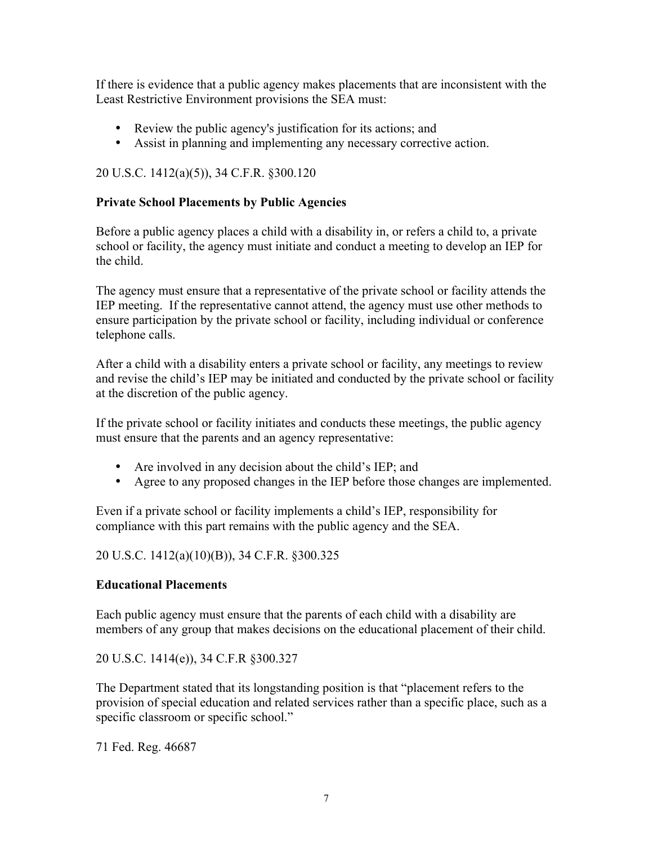If there is evidence that a public agency makes placements that are inconsistent with the Least Restrictive Environment provisions the SEA must:

- Review the public agency's justification for its actions; and
- Assist in planning and implementing any necessary corrective action.

# 20 U.S.C. 1412(a)(5)), 34 C.F.R. §300.120

## Private School Placements by Public Agencies

Before a public agency places a child with a disability in, or refers a child to, a private school or facility, the agency must initiate and conduct a meeting to develop an IEP for the child.

The agency must ensure that a representative of the private school or facility attends the IEP meeting. If the representative cannot attend, the agency must use other methods to ensure participation by the private school or facility, including individual or conference telephone calls.

After a child with a disability enters a private school or facility, any meetings to review and revise the child's IEP may be initiated and conducted by the private school or facility at the discretion of the public agency.

If the private school or facility initiates and conducts these meetings, the public agency must ensure that the parents and an agency representative:

- Are involved in any decision about the child's IEP; and
- Agree to any proposed changes in the IEP before those changes are implemented.

Even if a private school or facility implements a child's IEP, responsibility for compliance with this part remains with the public agency and the SEA.

20 U.S.C. 1412(a)(10)(B)), 34 C.F.R. §300.325

## Educational Placements

Each public agency must ensure that the parents of each child with a disability are members of any group that makes decisions on the educational placement of their child.

20 U.S.C. 1414(e)), 34 C.F.R §300.327

The Department stated that its longstanding position is that "placement refers to the provision of special education and related services rather than a specific place, such as a specific classroom or specific school."

71 Fed. Reg. 46687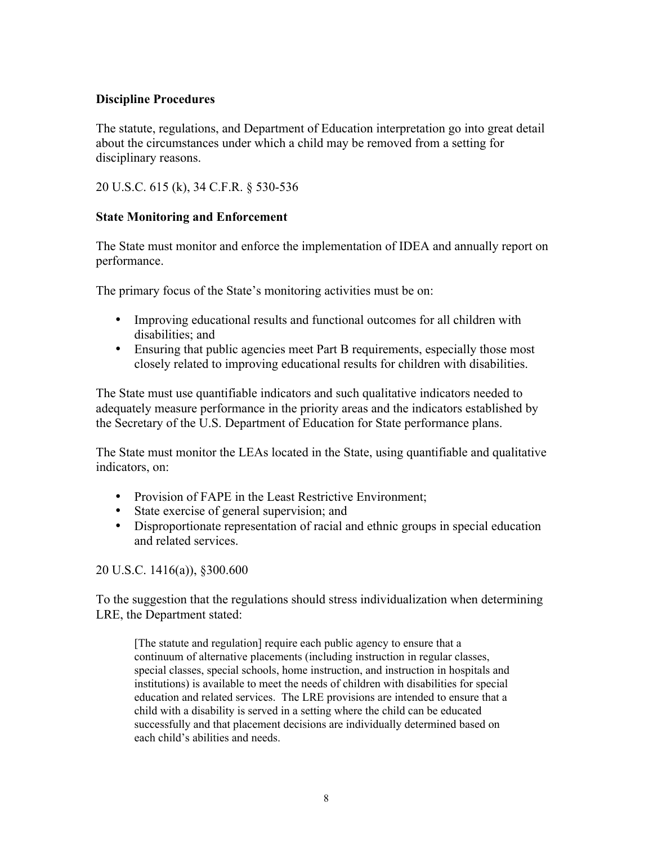## Discipline Procedures

The statute, regulations, and Department of Education interpretation go into great detail about the circumstances under which a child may be removed from a setting for disciplinary reasons.

20 U.S.C. 615 (k), 34 C.F.R. § 530-536

## State Monitoring and Enforcement

The State must monitor and enforce the implementation of IDEA and annually report on performance.

The primary focus of the State's monitoring activities must be on:

- Improving educational results and functional outcomes for all children with disabilities; and
- Ensuring that public agencies meet Part B requirements, especially those most closely related to improving educational results for children with disabilities.

The State must use quantifiable indicators and such qualitative indicators needed to adequately measure performance in the priority areas and the indicators established by the Secretary of the U.S. Department of Education for State performance plans.

The State must monitor the LEAs located in the State, using quantifiable and qualitative indicators, on:

- Provision of FAPE in the Least Restrictive Environment;
- State exercise of general supervision; and
- Disproportionate representation of racial and ethnic groups in special education and related services.

20 U.S.C. 1416(a)), §300.600

To the suggestion that the regulations should stress individualization when determining LRE, the Department stated:

[The statute and regulation] require each public agency to ensure that a continuum of alternative placements (including instruction in regular classes, special classes, special schools, home instruction, and instruction in hospitals and institutions) is available to meet the needs of children with disabilities for special education and related services. The LRE provisions are intended to ensure that a child with a disability is served in a setting where the child can be educated successfully and that placement decisions are individually determined based on each child's abilities and needs.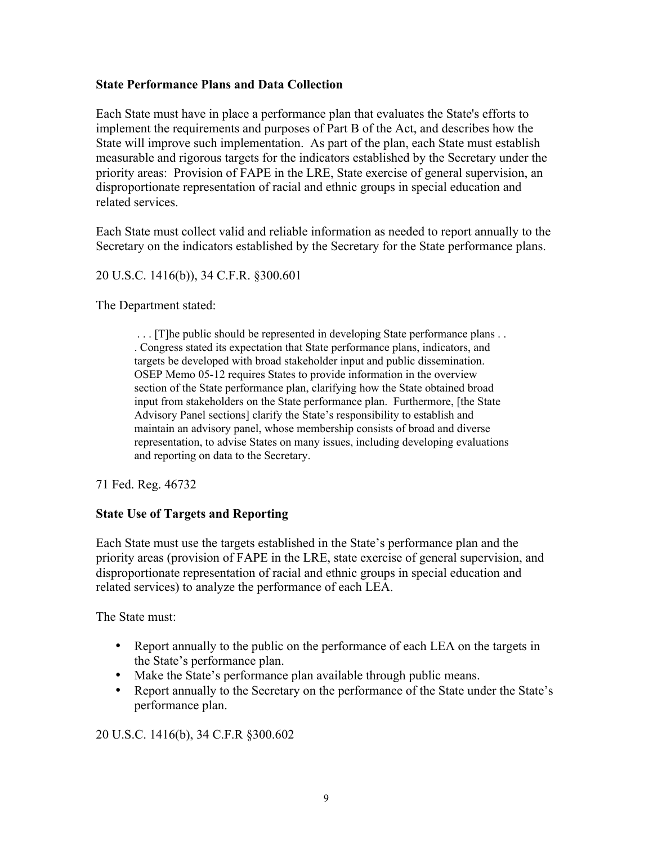### State Performance Plans and Data Collection

Each State must have in place a performance plan that evaluates the State's efforts to implement the requirements and purposes of Part B of the Act, and describes how the State will improve such implementation. As part of the plan, each State must establish measurable and rigorous targets for the indicators established by the Secretary under the priority areas: Provision of FAPE in the LRE, State exercise of general supervision, an disproportionate representation of racial and ethnic groups in special education and related services.

Each State must collect valid and reliable information as needed to report annually to the Secretary on the indicators established by the Secretary for the State performance plans.

20 U.S.C. 1416(b)), 34 C.F.R. §300.601

The Department stated:

 . . . [T]he public should be represented in developing State performance plans . . . Congress stated its expectation that State performance plans, indicators, and targets be developed with broad stakeholder input and public dissemination. OSEP Memo 05-12 requires States to provide information in the overview section of the State performance plan, clarifying how the State obtained broad input from stakeholders on the State performance plan. Furthermore, [the State Advisory Panel sections] clarify the State's responsibility to establish and maintain an advisory panel, whose membership consists of broad and diverse representation, to advise States on many issues, including developing evaluations and reporting on data to the Secretary.

71 Fed. Reg. 46732

## State Use of Targets and Reporting

Each State must use the targets established in the State's performance plan and the priority areas (provision of FAPE in the LRE, state exercise of general supervision, and disproportionate representation of racial and ethnic groups in special education and related services) to analyze the performance of each LEA.

The State must:

- Report annually to the public on the performance of each LEA on the targets in the State's performance plan.
- Make the State's performance plan available through public means.
- Report annually to the Secretary on the performance of the State under the State's performance plan.

20 U.S.C. 1416(b), 34 C.F.R §300.602